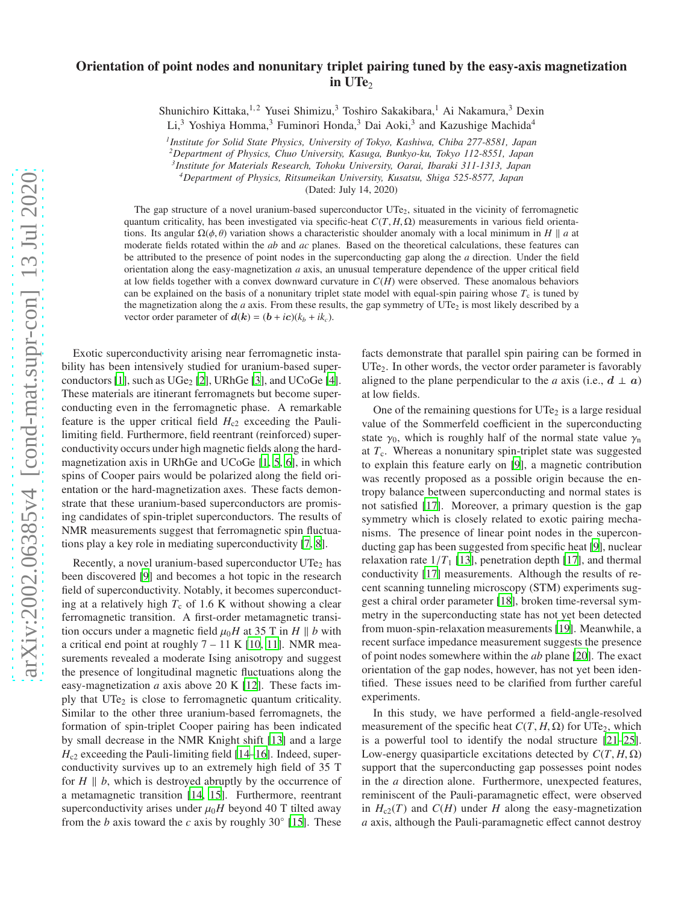## Orientation of point nodes and nonunitary triplet pairing tuned by the easy-axis magnetization in UTe<sub>2</sub>

Shunichiro Kittaka,<sup>1,2</sup> Yusei Shimizu,<sup>3</sup> Toshiro Sakakibara,<sup>1</sup> Ai Nakamura,<sup>3</sup> Dexin

Li,<sup>3</sup> Yoshiya Homma,<sup>3</sup> Fuminori Honda,<sup>3</sup> Dai Aoki,<sup>3</sup> and Kazushige Machida<sup>4</sup>

*1 Institute for Solid State Physics, University of Tokyo, Kashiwa, Chiba 277-8581, Japan*

*<sup>2</sup>Department of Physics, Chuo University, Kasuga, Bunkyo-ku, Tokyo 112-8551, Japan*

*3 Institute for Materials Research, Tohoku University, Oarai, Ibaraki 311-1313, Japan <sup>4</sup>Department of Physics, Ritsumeikan University, Kusatsu, Shiga 525-8577, Japan*

(Dated: July 14, 2020)

The gap structure of a novel uranium-based superconductor  $UTe<sub>2</sub>$ , situated in the vicinity of ferromagnetic quantum criticality, has been investigated via specific-heat  $C(T, H, \Omega)$  measurements in various field orientations. Its angular  $\Omega(\phi, \theta)$  variation shows a characteristic shoulder anomaly with a local minimum in *H* || *a* at moderate fields rotated within the *ab* and *ac* planes. Based on the theoretical calculations, these features can be attributed to the presence of point nodes in the superconducting gap along the *a* direction. Under the field orientation along the easy-magnetization *a* axis, an unusual temperature dependence of the upper critical field at low fields together with a convex downward curvature in *C*(*H*) were observed. These anomalous behaviors can be explained on the basis of a nonunitary triplet state model with equal-spin pairing whose  $T_c$  is tuned by the magnetization along the *a* axis. From these results, the gap symmetry of UTe<sub>2</sub> is most likely described by a vector order parameter of  $d(\mathbf{k}) = (\mathbf{b} + i\mathbf{c})(k_b + ik_c)$ .

Exotic superconductivity arising near ferromagnetic instability has been intensively studied for uranium-based super-conductors [\[1](#page-4-0)], such as  $UGe<sub>2</sub>$  [\[2\]](#page-4-1), URhGe [\[3](#page-4-2)], and UCoGe [\[4](#page-4-3)]. These materials are itinerant ferromagnets but become superconducting even in the ferromagnetic phase. A remarkable feature is the upper critical field  $H_{c2}$  exceeding the Paulilimiting field. Furthermore, field reentrant (reinforced) superconductivity occurs under high magnetic fields along the hardmagnetization axis in URhGe and UCoGe [\[1,](#page-4-0) [5](#page-4-4), [6](#page-4-5)], in which spins of Cooper pairs would be polarized along the field orientation or the hard-magnetization axes. These facts demonstrate that these uranium-based superconductors are promising candidates of spin-triplet superconductors. The results of NMR measurements suggest that ferromagnetic spin fluctuations play a key role in mediating superconductivity [\[7,](#page-4-6) [8\]](#page-4-7).

Recently, a novel uranium-based superconductor  $UTe<sub>2</sub>$  has been discovered [\[9\]](#page-4-8) and becomes a hot topic in the research field of superconductivity. Notably, it becomes superconducting at a relatively high  $T_c$  of 1.6 K without showing a clear ferromagnetic transition. A first-order metamagnetic transition occurs under a magnetic field  $\mu_0H$  at 35 T in *H* || *b* with a critical end point at roughly  $7 - 11$  K [\[10](#page-4-9), [11\]](#page-4-10). NMR measurements revealed a moderate Ising anisotropy and suggest the presence of longitudinal magnetic fluctuations along the easy-magnetization *a* axis above 20 K [\[12\]](#page-4-11). These facts imply that UTe<sub>2</sub> is close to ferromagnetic quantum criticality. Similar to the other three uranium-based ferromagnets, the formation of spin-triplet Cooper pairing has been indicated by small decrease in the NMR Knight shift [\[13\]](#page-4-12) and a large  $H<sub>c2</sub>$  exceeding the Pauli-limiting field [\[14](#page-4-13)[–16\]](#page-4-14). Indeed, superconductivity survives up to an extremely high field of 35 T for  $H \parallel b$ , which is destroyed abruptly by the occurrence of a metamagnetic transition [\[14](#page-4-13), [15\]](#page-4-15). Furthermore, reentrant superconductivity arises under  $\mu_0H$  beyond 40 T tilted away from the *b* axis toward the *c* axis by roughly  $30°$  [\[15\]](#page-4-15). These

facts demonstrate that parallel spin pairing can be formed in UTe<sub>2</sub>. In other words, the vector order parameter is favorably aligned to the plane perpendicular to the *a* axis (i.e.,  $d \perp a$ ) at low fields.

One of the remaining questions for  $UTe<sub>2</sub>$  is a large residual value of the Sommerfeld coefficient in the superconducting state  $\gamma_0$ , which is roughly half of the normal state value  $\gamma_n$ at  $T_c$ . Whereas a nonunitary spin-triplet state was suggested to explain this feature early on [\[9\]](#page-4-8), a magnetic contribution was recently proposed as a possible origin because the entropy balance between superconducting and normal states is not satisfied [\[17](#page-4-16)]. Moreover, a primary question is the gap symmetry which is closely related to exotic pairing mechanisms. The presence of linear point nodes in the superconducting gap has been suggested from specific heat [\[9\]](#page-4-8), nuclear relaxation rate  $1/T_1$  [\[13](#page-4-12)], penetration depth [\[17](#page-4-16)], and thermal conductivity [\[17](#page-4-16)] measurements. Although the results of recent scanning tunneling microscopy (STM) experiments suggest a chiral order parameter [\[18](#page-4-17)], broken time-reversal symmetry in the superconducting state has not yet been detected from muon-spin-relaxation measurements [\[19](#page-4-18)]. Meanwhile, a recent surface impedance measurement suggests the presence of point nodes somewhere within the *ab* plane [\[20\]](#page-4-19). The exact orientation of the gap nodes, however, has not yet been identified. These issues need to be clarified from further careful experiments.

In this study, we have performed a field-angle-resolved measurement of the specific heat  $C(T, H, \Omega)$  for UTe<sub>2</sub>, which is a powerful tool to identify the nodal structure [\[21](#page-4-20)[–25](#page-4-21)]. Low-energy quasiparticle excitations detected by *C*(*T*, *H*, Ω) support that the superconducting gap possesses point nodes in the *a* direction alone. Furthermore, unexpected features, reminiscent of the Pauli-paramagnetic effect, were observed in  $H_{c2}(T)$  and  $C(H)$  under *H* along the easy-magnetization *a* axis, although the Pauli-paramagnetic effect cannot destroy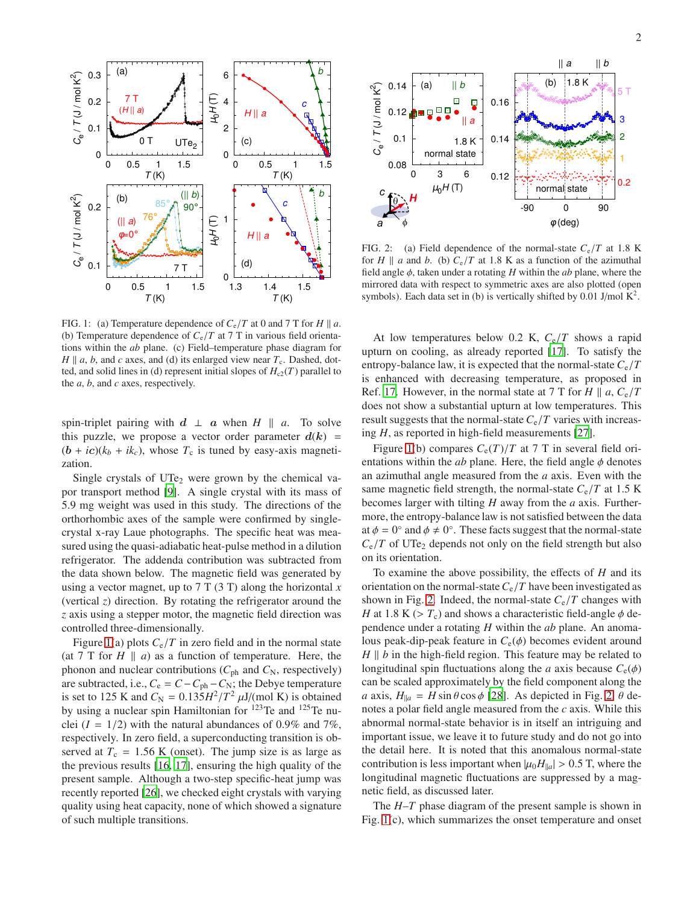

FIG. 1: (a) Temperature dependence of  $C_e/T$  at 0 and 7 T for *H*  $\parallel$  *a*. (b) Temperature dependence of  $C_e/T$  at 7 T in various field orientations within the *ab* plane. (c) Field–temperature phase diagram for  $H \parallel a, b$ , and *c* axes, and (d) its enlarged view near  $T_c$ . Dashed, dotted, and solid lines in (d) represent initial slopes of  $H_{c2}(T)$  parallel to the *a*, *b*, and *c* axes, respectively.

spin-triplet pairing with  $d \perp a$  when  $H \parallel a$ . To solve this puzzle, we propose a vector order parameter  $d(k)$  =  $(b + ic)(k_b + ik_c)$ , whose  $T_c$  is tuned by easy-axis magnetization.

Single crystals of UTe<sub>2</sub> were grown by the chemical vapor transport method [\[9\]](#page-4-8). A single crystal with its mass of 5.9 mg weight was used in this study. The directions of the orthorhombic axes of the sample were confirmed by singlecrystal x-ray Laue photographs. The specific heat was measured using the quasi-adiabatic heat-pulse method in a dilution refrigerator. The addenda contribution was subtracted from the data shown below. The magnetic field was generated by using a vector magnet, up to 7 T (3 T) along the horizontal *x* (vertical *z*) direction. By rotating the refrigerator around the *z* axis using a stepper motor, the magnetic field direction was controlled three-dimensionally.

Figure [1\(](#page-8-0)a) plots  $C_e/T$  in zero field and in the normal state (at 7 T for  $H \parallel a$ ) as a function of temperature. Here, the phonon and nuclear contributions ( $C_{ph}$  and  $C_N$ , respectively) are subtracted, i.e.,  $C_e = C - C_{ph} - C_N$ ; the Debye temperature is set to 125 K and  $C_N = 0.135H^2/T^2 \mu J/(mol \text{ K})$  is obtained by using a nuclear spin Hamiltonian for <sup>123</sup>Te and <sup>125</sup>Te nuclei  $(I = 1/2)$  with the natural abundances of 0.9% and 7%, respectively. In zero field, a superconducting transition is observed at  $T_c = 1.56$  K (onset). The jump size is as large as the previous results [\[16](#page-4-14), [17\]](#page-4-16), ensuring the high quality of the present sample. Although a two-step specific-heat jump was recently reported [\[26](#page-4-22)], we checked eight crystals with varying quality using heat capacity, none of which showed a signature of such multiple transitions.



FIG. 2: (a) Field dependence of the normal-state  $C_e/T$  at 1.8 K for *H*  $\parallel$  *a* and *b*. (b)  $C_e/T$  at 1.8 K as a function of the azimuthal field angle φ, taken under a rotating *H* within the *ab* plane, where the mirrored data with respect to symmetric axes are also plotted (open symbols). Each data set in (b) is vertically shifted by 0.01 J/mol  $K^2$ .

At low temperatures below 0.2 K, *C*e/*T* shows a rapid upturn on cooling, as already reported [\[17\]](#page-4-16). To satisfy the entropy-balance law, it is expected that the normal-state  $C_e/T$ is enhanced with decreasing temperature, as proposed in Ref. [17.](#page-4-16) However, in the normal state at 7 T for *H*  $\parallel$  *a*,  $C_e/T$ does not show a substantial upturn at low temperatures. This result suggests that the normal-state  $C_e/T$  varies with increasing *H*, as reported in high-field measurements [\[27\]](#page-4-23).

Figure [1\(](#page-8-0)b) compares  $C_e(T)/T$  at 7 T in several field orientations within the  $ab$  plane. Here, the field angle  $\phi$  denotes an azimuthal angle measured from the *a* axis. Even with the same magnetic field strength, the normal-state  $C_e/T$  at 1.5 K becomes larger with tilting *H* away from the *a* axis. Furthermore, the entropy-balance law is not satisfied between the data at  $\phi = 0^{\circ}$  and  $\phi \neq 0^{\circ}$ . These facts suggest that the normal-state  $C_e/T$  of UTe<sub>2</sub> depends not only on the field strength but also on its orientation.

To examine the above possibility, the effects of *H* and its orientation on the normal-state  $C_e/T$  have been investigated as shown in Fig. [2.](#page-9-0) Indeed, the normal-state  $C_e/T$  changes with *H* at 1.8 K ( $> T_c$ ) and shows a characteristic field-angle  $\phi$  dependence under a rotating *H* within the *ab* plane. An anomalous peak-dip-peak feature in  $C_e(\phi)$  becomes evident around  $H \parallel b$  in the high-field region. This feature may be related to longitudinal spin fluctuations along the *a* axis because  $C_e(\phi)$ can be scaled approximately by the field component along the *a* axis,  $H_{\parallel a} = H \sin \theta \cos \phi$  [\[28\]](#page-4-24). As depicted in Fig. [2,](#page-9-0)  $\theta$  denotes a polar field angle measured from the *c* axis. While this abnormal normal-state behavior is in itself an intriguing and important issue, we leave it to future study and do not go into the detail here. It is noted that this anomalous normal-state contribution is less important when  $|\mu_0 H_{\parallel a}| > 0.5$  T, where the longitudinal magnetic fluctuations are suppressed by a magnetic field, as discussed later.

The *H*–*T* phase diagram of the present sample is shown in Fig. [1\(](#page-8-0)c), which summarizes the onset temperature and onset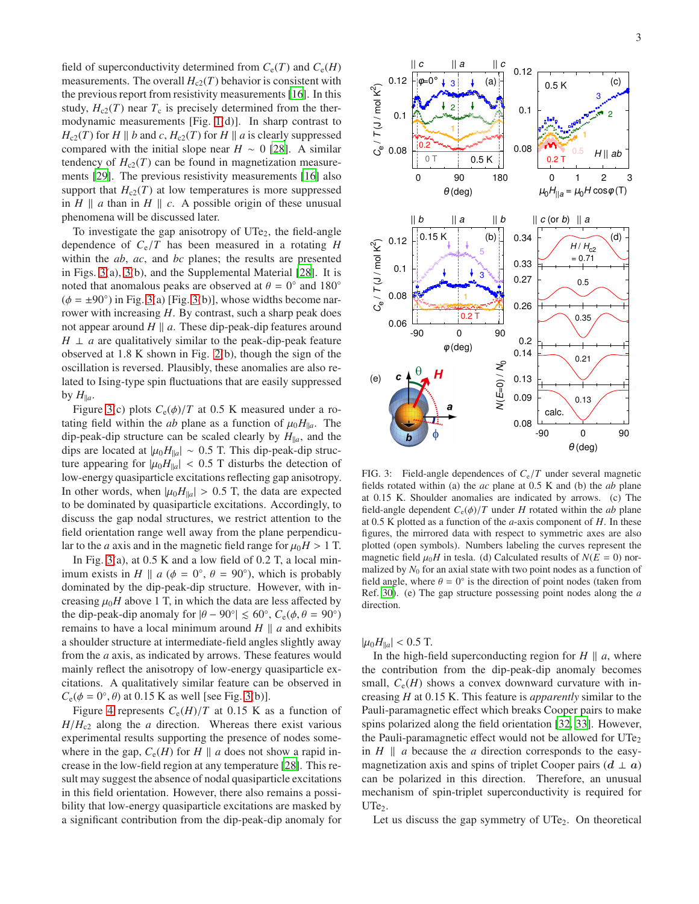field of superconductivity determined from  $C_e(T)$  and  $C_e(H)$ measurements. The overall  $H_{c2}(T)$  behavior is consistent with the previous report from resistivity measurements [\[16\]](#page-4-14). In this study,  $H_{c2}(T)$  near  $T_c$  is precisely determined from the thermodynamic measurements [Fig. [1\(](#page-8-0)d)]. In sharp contrast to  $H_{c2}(T)$  for *H* || *b* and *c*,  $H_{c2}(T)$  for *H* || *a* is clearly suppressed compared with the initial slope near  $H \sim 0$  [\[28](#page-4-24)]. A similar tendency of  $H_{c2}(T)$  can be found in magnetization measurements [\[29](#page-4-25)]. The previous resistivity measurements [\[16\]](#page-4-14) also support that  $H_{c2}(T)$  at low temperatures is more suppressed in  $H \parallel a$  than in  $H \parallel c$ . A possible origin of these unusual phenomena will be discussed later.

To investigate the gap anisotropy of  $UTe<sub>2</sub>$ , the field-angle dependence of *C*e/*T* has been measured in a rotating *H* within the *ab*, *ac*, and *bc* planes; the results are presented in Figs. [3\(](#page-10-0)a), [3\(](#page-10-0)b), and the Supplemental Material [\[28\]](#page-4-24). It is noted that anomalous peaks are observed at  $\theta = 0^{\circ}$  and 180<sup>°</sup>  $(\phi = \pm 90^{\circ})$  in Fig. [3\(](#page-10-0)a) [Fig. 3(b)], whose widths become narrower with increasing *H*. By contrast, such a sharp peak does not appear around  $H \parallel a$ . These dip-peak-dip features around  $H \perp a$  are qualitatively similar to the peak-dip-peak feature observed at 1.8 K shown in Fig. [2\(](#page-9-0)b), though the sign of the oscillation is reversed. Plausibly, these anomalies are also related to Ising-type spin fluctuations that are easily suppressed by  $H_{\parallel a}$ .

Figure [3\(](#page-10-0)c) plots  $C_e(\phi)/T$  at 0.5 K measured under a rotating field within the *ab* plane as a function of  $\mu_0 H_{\parallel a}$ . The dip-peak-dip structure can be scaled clearly by  $H_{\parallel a}$ , and the dips are located at  $|\mu_0 H_{\parallel a}| \sim 0.5$  T. This dip-peak-dip structure appearing for  $|\mu_0 H_{\parallel a}|$  < 0.5 T disturbs the detection of low-energy quasiparticle excitations reflecting gap anisotropy. In other words, when  $|\mu_0 H_{\parallel a}| > 0.5$  T, the data are expected to be dominated by quasiparticle excitations. Accordingly, to discuss the gap nodal structures, we restrict attention to the field orientation range well away from the plane perpendicular to the *a* axis and in the magnetic field range for  $\mu_0 H > 1$  T.

In Fig. [3\(](#page-10-0)a), at  $0.5$  K and a low field of  $0.2$  T, a local minimum exists in *H*  $\parallel$  *a* ( $\phi = 0^{\circ}$ ,  $\theta = 90^{\circ}$ ), which is probably dominated by the dip-peak-dip structure. However, with increasing  $\mu_0H$  above 1 T, in which the data are less affected by the dip-peak-dip anomaly for  $|\theta - 90^{\circ}| \le 60^{\circ}$ ,  $C_e(\phi, \theta = 90^{\circ})$ remains to have a local minimum around  $H \parallel a$  and exhibits a shoulder structure at intermediate-field angles slightly away from the *a* axis, as indicated by arrows. These features would mainly reflect the anisotropy of low-energy quasiparticle excitations. A qualitatively similar feature can be observed in  $C_e(\phi = 0^\circ, \theta)$  at 0.15 K as well [see Fig. [3\(](#page-10-0)b)].

Figure [4](#page-11-0) represents  $C_e(H)/T$  at 0.15 K as a function of  $H/H<sub>c2</sub>$  along the *a* direction. Whereas there exist various experimental results supporting the presence of nodes somewhere in the gap,  $C_e(H)$  for  $H \parallel a$  does not show a rapid increase in the low-field region at any temperature [\[28\]](#page-4-24). This result may suggest the absence of nodal quasiparticle excitations in this field orientation. However, there also remains a possibility that low-energy quasiparticle excitations are masked by a significant contribution from the dip-peak-dip anomaly for



FIG. 3: Field-angle dependences of  $C_e/T$  under several magnetic fields rotated within (a) the *ac* plane at 0.5 K and (b) the *ab* plane at 0.15 K. Shoulder anomalies are indicated by arrows. (c) The field-angle dependent  $C_e(\phi)/T$  under *H* rotated within the *ab* plane at 0.5 K plotted as a function of the *a*-axis component of *H*. In these figures, the mirrored data with respect to symmetric axes are also plotted (open symbols). Numbers labeling the curves represent the magnetic field  $\mu_0 H$  in tesla. (d) Calculated results of  $N(E = 0)$  normalized by  $N_0$  for an axial state with two point nodes as a function of field angle, where  $\theta = 0^{\circ}$  is the direction of point nodes (taken from Ref. [30](#page-4-26)). (e) The gap structure possessing point nodes along the *a* direction.

 $|\mu_0 H_{\parallel a}| < 0.5$  T.

In the high-field superconducting region for  $H \parallel a$ , where the contribution from the dip-peak-dip anomaly becomes small,  $C_e(H)$  shows a convex downward curvature with increasing *H* at 0.15 K. This feature is *apparently* similar to the Pauli-paramagnetic effect which breaks Cooper pairs to make spins polarized along the field orientation [\[32,](#page-5-0) [33\]](#page-5-1). However, the Pauli-paramagnetic effect would not be allowed for  $UTe<sub>2</sub>$ in  $H \parallel a$  because the *a* direction corresponds to the easymagnetization axis and spins of triplet Cooper pairs  $(d \perp a)$ can be polarized in this direction. Therefore, an unusual mechanism of spin-triplet superconductivity is required for  $UTe<sub>2</sub>$ .

Let us discuss the gap symmetry of  $UTe<sub>2</sub>$ . On theoretical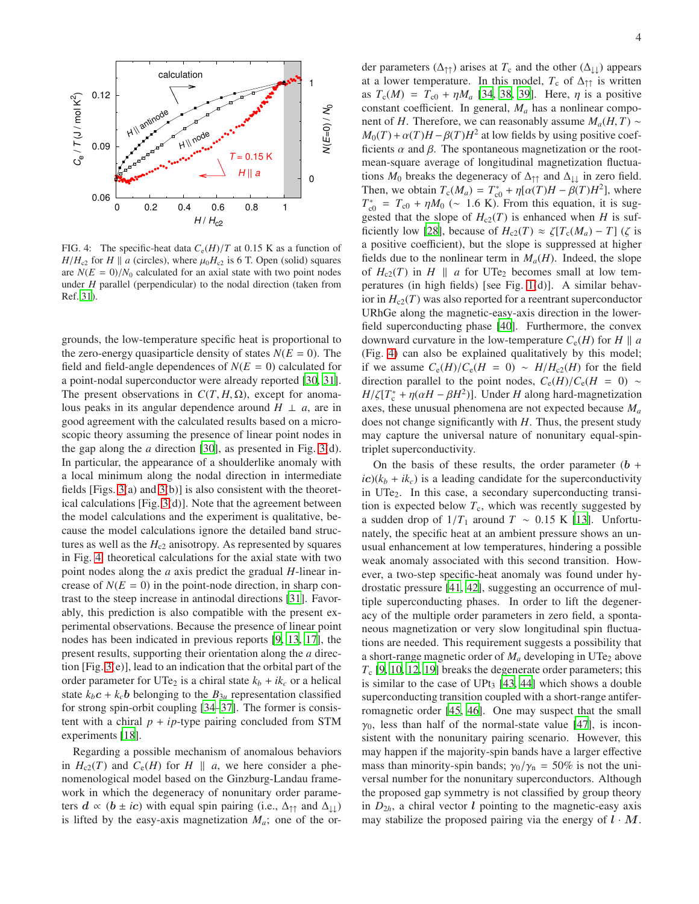

FIG. 4: The specific-heat data  $C_e(H)/T$  at 0.15 K as a function of  $H/H_{c2}$  for *H* || *a* (circles), where  $\mu_0H_{c2}$  is 6 T. Open (solid) squares are  $N(E = 0)/N_0$  calculated for an axial state with two point nodes under *H* parallel (perpendicular) to the nodal direction (taken from Ref. [31](#page-4-27)).

grounds, the low-temperature specific heat is proportional to the zero-energy quasiparticle density of states  $N(E = 0)$ . The field and field-angle dependences of  $N(E = 0)$  calculated for a point-nodal superconductor were already reported [\[30,](#page-4-26) [31](#page-4-27)]. The present observations in  $C(T, H, \Omega)$ , except for anomalous peaks in its angular dependence around  $H \perp a$ , are in good agreement with the calculated results based on a microscopic theory assuming the presence of linear point nodes in the gap along the *a* direction [\[30\]](#page-4-26), as presented in Fig. [3\(](#page-10-0)d). In particular, the appearance of a shoulderlike anomaly with a local minimum along the nodal direction in intermediate fields [Figs. [3\(](#page-10-0)a) and [3\(](#page-10-0)b)] is also consistent with the theoretical calculations [Fig. [3\(](#page-10-0)d)]. Note that the agreement between the model calculations and the experiment is qualitative, because the model calculations ignore the detailed band structures as well as the  $H_{c2}$  anisotropy. As represented by squares in Fig. [4,](#page-11-0) theoretical calculations for the axial state with two point nodes along the *a* axis predict the gradual *H*-linear increase of  $N(E = 0)$  in the point-node direction, in sharp contrast to the steep increase in antinodal directions [\[31\]](#page-4-27). Favorably, this prediction is also compatible with the present experimental observations. Because the presence of linear point nodes has been indicated in previous reports [\[9](#page-4-8), [13,](#page-4-12) [17\]](#page-4-16), the present results, supporting their orientation along the *a* direction [Fig. [3\(](#page-10-0)e)], lead to an indication that the orbital part of the order parameter for UTe<sub>2</sub> is a chiral state  $k_b + ik_c$  or a helical state  $k_b c + k_c b$  belonging to the  $B_{3u}$  representation classified for strong spin-orbit coupling [\[34](#page-5-2)[–37\]](#page-5-3). The former is consistent with a chiral  $p + ip$ -type pairing concluded from STM experiments [\[18](#page-4-17)].

Regarding a possible mechanism of anomalous behaviors in  $H_{c2}(T)$  and  $C_e(H)$  for  $H \parallel a$ , we here consider a phenomenological model based on the Ginzburg-Landau framework in which the degeneracy of nonunitary order parameters  $d \propto (b \pm ic)$  with equal spin pairing (i.e.,  $\Delta_{\uparrow \uparrow}$  and  $\Delta_{\downarrow \downarrow}$ ) is lifted by the easy-axis magnetization  $M_a$ ; one of the or-

der parameters ( $\Delta_{\uparrow\uparrow}$ ) arises at  $T_c$  and the other ( $\Delta_{\downarrow\downarrow}$ ) appears at a lower temperature. In this model,  $T_c$  of  $\Delta_{\uparrow\uparrow}$  is written as  $T_c(M) = T_{c0} + \eta M_a$  [\[34,](#page-5-2) [38](#page-5-4), [39\]](#page-5-5). Here,  $\eta$  is a positive constant coefficient. In general, *M<sup>a</sup>* has a nonlinear component of *H*. Therefore, we can reasonably assume  $M_a(H, T) \sim$  $M_0(T) + \alpha(T)H - \beta(T)H^2$  at low fields by using positive coefficients  $\alpha$  and  $\beta$ . The spontaneous magnetization or the rootmean-square average of longitudinal magnetization fluctuations  $M_0$  breaks the degeneracy of  $\Delta_{\uparrow\uparrow}$  and  $\Delta_{\downarrow\downarrow}$  in zero field. Then, we obtain  $T_c(M_a) = T_{c0}^* + \eta[\alpha(T)H - \beta(T)H^2]$ , where  $T_{c0}^* = T_{c0} + \eta M_0$  (~ 1.6 K). From this equation, it is suggested that the slope of  $H_{c2}(T)$  is enhanced when *H* is suf-ficiently low [\[28](#page-4-24)], because of  $H_{c2}(T) \approx \zeta[T_c(M_a) - T]$  ( $\zeta$  is a positive coefficient), but the slope is suppressed at higher fields due to the nonlinear term in  $M_a(H)$ . Indeed, the slope of  $H_{c2}(T)$  in  $H \parallel a$  for UTe<sub>2</sub> becomes small at low temperatures (in high fields) [see Fig. [1\(](#page-8-0)d)]. A similar behavior in  $H_{c2}(T)$  was also reported for a reentrant superconductor URhGe along the magnetic-easy-axis direction in the lowerfield superconducting phase [\[40](#page-5-6)]. Furthermore, the convex downward curvature in the low-temperature  $C_e(H)$  for  $H \parallel a$ (Fig. [4\)](#page-11-0) can also be explained qualitatively by this model; if we assume  $C_e(H)/C_e(H = 0)$  ∼  $H/H_{c2}(H)$  for the field direction parallel to the point nodes,  $C_e(H)/C_e(H = 0)$  ∼  $H/\zeta[T_c^* + \eta(\alpha H - \beta H^2)]$ . Under *H* along hard-magnetization axes, these unusual phenomena are not expected because *M<sup>a</sup>* does not change significantly with *H*. Thus, the present study may capture the universal nature of nonunitary equal-spintriplet superconductivity.

On the basis of these results, the order parameter  $(b +$  $i\epsilon$ )( $k_b + ik_c$ ) is a leading candidate for the superconductivity in UTe<sub>2</sub>. In this case, a secondary superconducting transition is expected below  $T_c$ , which was recently suggested by a sudden drop of  $1/T_1$  around *T* ~ 0.15 K [\[13\]](#page-4-12). Unfortunately, the specific heat at an ambient pressure shows an unusual enhancement at low temperatures, hindering a possible weak anomaly associated with this second transition. However, a two-step specific-heat anomaly was found under hydrostatic pressure [\[41,](#page-5-7) [42\]](#page-5-8), suggesting an occurrence of multiple superconducting phases. In order to lift the degeneracy of the multiple order parameters in zero field, a spontaneous magnetization or very slow longitudinal spin fluctuations are needed. This requirement suggests a possibility that a short-range magnetic order of  $M_a$  developing in UTe<sub>2</sub> above *T*<sup>c</sup> [\[9](#page-4-8), [10,](#page-4-9) [12,](#page-4-11) [19\]](#page-4-18) breaks the degenerate order parameters; this is similar to the case of UPt<sub>3</sub> [\[43,](#page-5-9) [44](#page-5-10)] which shows a double superconducting transition coupled with a short-range antiferromagnetic order [\[45,](#page-5-11) [46\]](#page-5-12). One may suspect that the small  $\gamma_0$ , less than half of the normal-state value [\[47\]](#page-5-13), is inconsistent with the nonunitary pairing scenario. However, this may happen if the majority-spin bands have a larger effective mass than minority-spin bands;  $\gamma_0/\gamma_n = 50\%$  is not the universal number for the nonunitary superconductors. Although the proposed gap symmetry is not classified by group theory in  $D_{2h}$ , a chiral vector *l* pointing to the magnetic-easy axis may stabilize the proposed pairing via the energy of  $l \cdot M$ .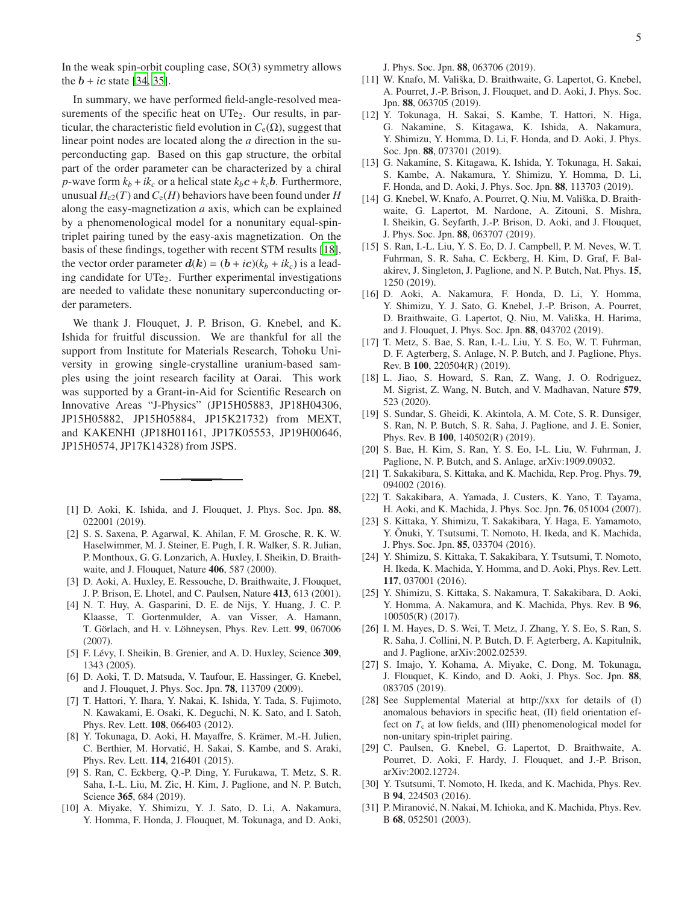In the weak spin-orbit coupling case, SO(3) symmetry allows the  $b + ic$  state [\[34,](#page-5-2) [35\]](#page-5-14).

In summary, we have performed field-angle-resolved measurements of the specific heat on UTe<sub>2</sub>. Our results, in particular, the characteristic field evolution in  $C_e(\Omega)$ , suggest that linear point nodes are located along the *a* direction in the superconducting gap. Based on this gap structure, the orbital part of the order parameter can be characterized by a chiral *p*-wave form  $k_b + ik_c$  or a helical state  $k_b c + k_c b$ . Furthermore, unusual  $H_{c2}(T)$  and  $C_e(H)$  behaviors have been found under *H* along the easy-magnetization *a* axis, which can be explained by a phenomenological model for a nonunitary equal-spintriplet pairing tuned by the easy-axis magnetization. On the basis of these findings, together with recent STM results [\[18](#page-4-17)], the vector order parameter  $d(k) = (b + ic)(k_b + ik_c)$  is a leading candidate for UTe<sub>2</sub>. Further experimental investigations are needed to validate these nonunitary superconducting order parameters.

We thank J. Flouquet, J. P. Brison, G. Knebel, and K. Ishida for fruitful discussion. We are thankful for all the support from Institute for Materials Research, Tohoku University in growing single-crystalline uranium-based samples using the joint research facility at Oarai. This work was supported by a Grant-in-Aid for Scientific Research on Innovative Areas "J-Physics" (JP15H05883, JP18H04306, JP15H05882, JP15H05884, JP15K21732) from MEXT, and KAKENHI (JP18H01161, JP17K05553, JP19H00646, JP15H0574, JP17K14328) from JSPS.

- <span id="page-4-0"></span>[1] D. Aoki, K. Ishida, and J. Flouquet, J. Phys. Soc. Jpn. 88, 022001 (2019).
- <span id="page-4-1"></span>[2] S. S. Saxena, P. Agarwal, K. Ahilan, F. M. Grosche, R. K. W. Haselwimmer, M. J. Steiner, E. Pugh, I. R. Walker, S. R. Julian, P. Monthoux, G. G. Lonzarich, A. Huxley, I. Sheikin, D. Braithwaite, and J. Flouquet, Nature 406, 587 (2000).
- <span id="page-4-2"></span>[3] D. Aoki, A. Huxley, E. Ressouche, D. Braithwaite, J. Flouquet, J. P. Brison, E. Lhotel, and C. Paulsen, Nature 413, 613 (2001).
- <span id="page-4-3"></span>[4] N. T. Huy, A. Gasparini, D. E. de Nijs, Y. Huang, J. C. P. Klaasse, T. Gortenmulder, A. van Visser, A. Hamann, T. Görlach, and H. v. Löhneysen, Phys. Rev. Lett. 99, 067006 (2007).
- <span id="page-4-4"></span>[5] F. Lévy, I. Sheikin, B. Grenier, and A. D. Huxley, Science 309, 1343 (2005).
- <span id="page-4-5"></span>[6] D. Aoki, T. D. Matsuda, V. Taufour, E. Hassinger, G. Knebel, and J. Flouquet, J. Phys. Soc. Jpn. 78, 113709 (2009).
- <span id="page-4-6"></span>[7] T. Hattori, Y. Ihara, Y. Nakai, K. Ishida, Y. Tada, S. Fujimoto, N. Kawakami, E. Osaki, K. Deguchi, N. K. Sato, and I. Satoh, Phys. Rev. Lett. 108, 066403 (2012).
- <span id="page-4-7"></span>[8] Y. Tokunaga, D. Aoki, H. Mayaffre, S. Krämer, M.-H. Julien, C. Berthier, M. Horvatić, H. Sakai, S. Kambe, and S. Araki, Phys. Rev. Lett. 114, 216401 (2015).
- <span id="page-4-8"></span>[9] S. Ran, C. Eckberg, Q.-P. Ding, Y. Furukawa, T. Metz, S. R. Saha, I.-L. Liu, M. Zic, H. Kim, J. Paglione, and N. P. Butch, Science 365, 684 (2019).
- <span id="page-4-9"></span>[10] A. Miyake, Y. Shimizu, Y. J. Sato, D. Li, A. Nakamura, Y. Homma, F. Honda, J. Flouquet, M. Tokunaga, and D. Aoki,

J. Phys. Soc. Jpn. 88, 063706 (2019).

- <span id="page-4-10"></span>[11] W. Knafo, M. Vališka, D. Braithwaite, G. Lapertot, G. Knebel, A. Pourret, J.-P. Brison, J. Flouquet, and D. Aoki, J. Phys. Soc. Jpn. 88, 063705 (2019).
- <span id="page-4-11"></span>[12] Y. Tokunaga, H. Sakai, S. Kambe, T. Hattori, N. Higa, G. Nakamine, S. Kitagawa, K. Ishida, A. Nakamura, Y. Shimizu, Y. Homma, D. Li, F. Honda, and D. Aoki, J. Phys. Soc. Jpn. 88, 073701 (2019).
- <span id="page-4-12"></span>[13] G. Nakamine, S. Kitagawa, K. Ishida, Y. Tokunaga, H. Sakai, S. Kambe, A. Nakamura, Y. Shimizu, Y. Homma, D. Li, F. Honda, and D. Aoki, J. Phys. Soc. Jpn. 88, 113703 (2019).
- <span id="page-4-13"></span>[14] G. Knebel, W. Knafo, A. Pourret, Q. Niu, M. Vališka, D. Braithwaite, G. Lapertot, M. Nardone, A. Zitouni, S. Mishra, I. Sheikin, G. Seyfarth, J.-P. Brison, D. Aoki, and J. Flouquet, J. Phys. Soc. Jpn. 88, 063707 (2019).
- <span id="page-4-15"></span>[15] S. Ran, I.-L. Liu, Y. S. Eo, D. J. Campbell, P. M. Neves, W. T. Fuhrman, S. R. Saha, C. Eckberg, H. Kim, D. Graf, F. Balakirev, J. Singleton, J. Paglione, and N. P. Butch, Nat. Phys. 15, 1250 (2019).
- <span id="page-4-14"></span>[16] D. Aoki, A. Nakamura, F. Honda, D. Li, Y. Homma, Y. Shimizu, Y. J. Sato, G. Knebel, J.-P. Brison, A. Pourret, D. Braithwaite, G. Lapertot, Q. Niu, M. Vališka, H. Harima, and J. Flouquet, J. Phys. Soc. Jpn. 88, 043702 (2019).
- <span id="page-4-16"></span>[17] T. Metz, S. Bae, S. Ran, I.-L. Liu, Y. S. Eo, W. T. Fuhrman, D. F. Agterberg, S. Anlage, N. P. Butch, and J. Paglione, Phys. Rev. B 100, 220504(R) (2019).
- <span id="page-4-17"></span>[18] L. Jiao, S. Howard, S. Ran, Z. Wang, J. O. Rodriguez, M. Sigrist, Z. Wang, N. Butch, and V. Madhavan, Nature 579, 523 (2020).
- <span id="page-4-18"></span>[19] S. Sundar, S. Gheidi, K. Akintola, A. M. Cote, S. R. Dunsiger, S. Ran, N. P. Butch, S. R. Saha, J. Paglione, and J. E. Sonier, Phys. Rev. B 100, 140502(R) (2019).
- <span id="page-4-19"></span>[20] S. Bae, H. Kim, S. Ran, Y. S. Eo, I-L. Liu, W. Fuhrman, J. Paglione, N. P. Butch, and S. Anlage, arXiv:1909.09032.
- <span id="page-4-20"></span>[21] T. Sakakibara, S. Kittaka, and K. Machida, Rep. Prog. Phys. **79**, 094002 (2016).
- [22] T. Sakakibara, A. Yamada, J. Custers, K. Yano, T. Tayama, H. Aoki, and K. Machida, J. Phys. Soc. Jpn. 76, 051004 (2007).
- [23] S. Kittaka, Y. Shimizu, T. Sakakibara, Y. Haga, E. Yamamoto, Y. Ōnuki, Y. Tsutsumi, T. Nomoto, H. Ikeda, and K. Machida, J. Phys. Soc. Jpn. 85, 033704 (2016).
- [24] Y. Shimizu, S. Kittaka, T. Sakakibara, Y. Tsutsumi, T. Nomoto, H. Ikeda, K. Machida, Y. Homma, and D. Aoki, Phys. Rev. Lett. 117, 037001 (2016).
- <span id="page-4-21"></span>[25] Y. Shimizu, S. Kittaka, S. Nakamura, T. Sakakibara, D. Aoki, Y. Homma, A. Nakamura, and K. Machida, Phys. Rev. B 96, 100505(R) (2017).
- <span id="page-4-22"></span>[26] I. M. Hayes, D. S. Wei, T. Metz, J. Zhang, Y. S. Eo, S. Ran, S. R. Saha, J. Collini, N. P. Butch, D. F. Agterberg, A. Kapitulnik, and J. Paglione, arXiv:2002.02539.
- <span id="page-4-23"></span>[27] S. Imajo, Y. Kohama, A. Miyake, C. Dong, M. Tokunaga, J. Flouquet, K. Kindo, and D. Aoki, J. Phys. Soc. Jpn. 88, 083705 (2019).
- <span id="page-4-24"></span>[28] See Supplemental Material at http://xxx for details of (I) anomalous behaviors in specific heat, (II) field orientation effect on  $T_c$  at low fields, and (III) phenomenological model for non-unitary spin-triplet pairing.
- <span id="page-4-25"></span>[29] C. Paulsen, G. Knebel, G. Lapertot, D. Braithwaite, A. Pourret, D. Aoki, F. Hardy, J. Flouquet, and J.-P. Brison, arXiv:2002.12724.
- <span id="page-4-26"></span>[30] Y. Tsutsumi, T. Nomoto, H. Ikeda, and K. Machida, Phys. Rev. B 94, 224503 (2016).
- <span id="page-4-27"></span>[31] P. Miranović, N. Nakai, M. Ichioka, and K. Machida, Phys. Rev. B 68, 052501 (2003).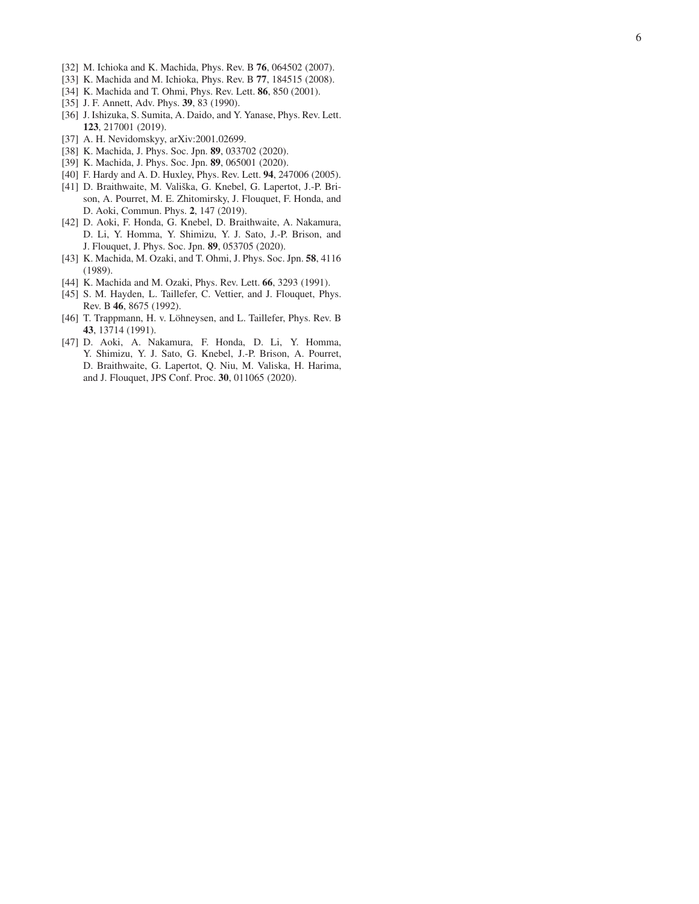- <span id="page-5-0"></span>[32] M. Ichioka and K. Machida, Phys. Rev. B 76, 064502 (2007).
- <span id="page-5-1"></span>[33] K. Machida and M. Ichioka, Phys. Rev. B 77, 184515 (2008).
- <span id="page-5-2"></span>[34] K. Machida and T. Ohmi, Phys. Rev. Lett. 86, 850 (2001).
- <span id="page-5-14"></span>[35] J. F. Annett, Adv. Phys. **39**, 83 (1990).
- [36] J. Ishizuka, S. Sumita, A. Daido, and Y. Yanase, Phys. Rev. Lett. 123, 217001 (2019).
- <span id="page-5-3"></span>[37] A. H. Nevidomskyy, arXiv:2001.02699.
- <span id="page-5-4"></span>[38] K. Machida, J. Phys. Soc. Jpn. 89, 033702 (2020).
- <span id="page-5-5"></span>[39] K. Machida, J. Phys. Soc. Jpn. 89, 065001 (2020).
- <span id="page-5-6"></span>[40] F. Hardy and A. D. Huxley, Phys. Rev. Lett. 94, 247006 (2005).
- <span id="page-5-7"></span>[41] D. Braithwaite, M. Vališka, G. Knebel, G. Lapertot, J.-P. Brison, A. Pourret, M. E. Zhitomirsky, J. Flouquet, F. Honda, and D. Aoki, Commun. Phys. 2, 147 (2019).
- <span id="page-5-8"></span>[42] D. Aoki, F. Honda, G. Knebel, D. Braithwaite, A. Nakamura, D. Li, Y. Homma, Y. Shimizu, Y. J. Sato, J.-P. Brison, and J. Flouquet, J. Phys. Soc. Jpn. 89, 053705 (2020).
- <span id="page-5-9"></span>[43] K. Machida, M. Ozaki, and T. Ohmi, J. Phys. Soc. Jpn. **58**, 4116 (1989).
- <span id="page-5-10"></span>[44] K. Machida and M. Ozaki, Phys. Rev. Lett. 66, 3293 (1991).
- <span id="page-5-11"></span>[45] S. M. Hayden, L. Taillefer, C. Vettier, and J. Flouquet, Phys. Rev. B 46, 8675 (1992).
- <span id="page-5-12"></span>[46] T. Trappmann, H. v. Löhneysen, and L. Taillefer, Phys. Rev. B 43, 13714 (1991).
- <span id="page-5-13"></span>[47] D. Aoki, A. Nakamura, F. Honda, D. Li, Y. Homma, Y. Shimizu, Y. J. Sato, G. Knebel, J.-P. Brison, A. Pourret, D. Braithwaite, G. Lapertot, Q. Niu, M. Valiska, H. Harima, and J. Flouquet, JPS Conf. Proc. 30, 011065 (2020).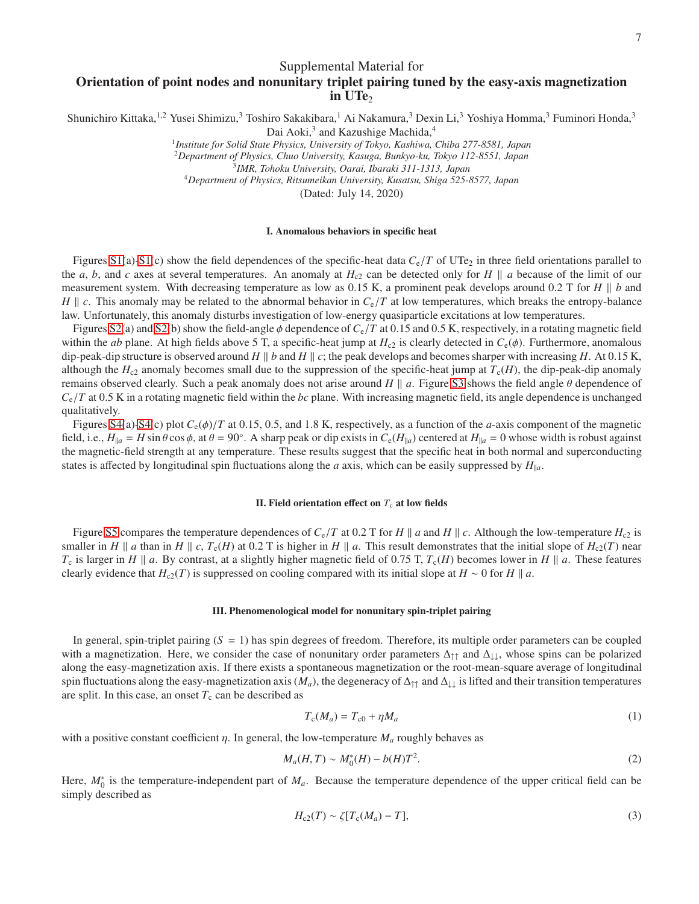Supplemental Material for

# Orientation of point nodes and nonunitary triplet pairing tuned by the easy-axis magnetization in  $UTe<sub>2</sub>$

Shunichiro Kittaka,<sup>1,2</sup> Yusei Shimizu,<sup>3</sup> Toshiro Sakakibara,<sup>1</sup> Ai Nakamura,<sup>3</sup> Dexin Li,<sup>3</sup> Yoshiya Homma,<sup>3</sup> Fuminori Honda,<sup>3</sup>

Dai Aoki,<sup>3</sup> and Kazushige Machida,<sup>4</sup>

1 *Institute for Solid State Physics, University of Tokyo, Kashiwa, Chiba 277-8581, Japan*

<sup>2</sup>*Department of Physics, Chuo University, Kasuga, Bunkyo-ku, Tokyo 112-8551, Japan*

3 *IMR, Tohoku University, Oarai, Ibaraki 311-1313, Japan*

<sup>4</sup>*Department of Physics, Ritsumeikan University, Kusatsu, Shiga 525-8577, Japan*

(Dated: July 14, 2020)

### I. Anomalous behaviors in specific heat

Figures [S1\(](#page-8-0)a)[-S1\(](#page-8-0)c) show the field dependences of the specific-heat data  $C_e/T$  of UTe<sub>2</sub> in three field orientations parallel to the *a*, *b*, and *c* axes at several temperatures. An anomaly at  $H_{c2}$  can be detected only for *H*  $\parallel$  *a* because of the limit of our measurement system. With decreasing temperature as low as  $0.15$  K, a prominent peak develops around  $0.2$  T for  $H \parallel b$  and  $H \parallel c$ . This anomaly may be related to the abnormal behavior in  $C_e/T$  at low temperatures, which breaks the entropy-balance law. Unfortunately, this anomaly disturbs investigation of low-energy quasiparticle excitations at low temperatures.

Figures [S2\(](#page-9-0)a) and [S2\(](#page-9-0)b) show the field-angle φ dependence of *C*e/*T* at 0.15 and 0.5 K, respectively, in a rotating magnetic field within the *ab* plane. At high fields above 5 T, a specific-heat jump at  $H_{c2}$  is clearly detected in  $C_e(\phi)$ . Furthermore, anomalous dip-peak-dip structure is observed around  $H \parallel b$  and  $H \parallel c$ ; the peak develops and becomes sharper with increasing  $H$ . At 0.15 K, although the  $H_{c2}$  anomaly becomes small due to the suppression of the specific-heat jump at  $T_c(H)$ , the dip-peak-dip anomaly remains observed clearly. Such a peak anomaly does not arise around  $H \parallel a$ . Figure [S3](#page-10-0) shows the field angle  $\theta$  dependence of  $C_e/T$  at 0.5 K in a rotating magnetic field within the *bc* plane. With increasing magnetic field, its angle dependence is unchanged qualitatively.

Figures [S4\(](#page-11-0)a)[-S4\(](#page-11-0)c) plot  $C_e(\phi)/T$  at 0.15, 0.5, and 1.8 K, respectively, as a function of the *a*-axis component of the magnetic field, i.e.,  $H_{\parallel a} = H \sin \theta \cos \phi$ , at  $\theta = 90^\circ$ . A sharp peak or dip exists in  $C_e(H_{\parallel a})$  centered at  $H_{\parallel a} = 0$  whose width is robust against the magnetic-field strength at any temperature. These results suggest that the specific heat in both normal and superconducting states is affected by longitudinal spin fluctuations along the *a* axis, which can be easily suppressed by  $H_{\parallel a}$ .

#### II. Field orientation effect on  $T_c$  at low fields

Figure [S5](#page-12-0) compares the temperature dependences of  $C_e/T$  at 0.2 T for *H* || *a* and *H* || *c*. Although the low-temperature  $H_{c2}$  is smaller in *H* || *a* than in *H* || *c*,  $T_c(H)$  at 0.2 T is higher in *H* || *a*. This result demonstrates that the initial slope of  $H_c(2T)$  near *T*<sub>c</sub> is larger in *H*  $\parallel$  *a*. By contrast, at a slightly higher magnetic field of 0.75 T,  $T_c(H)$  becomes lower in *H*  $\parallel$  *a*. These features clearly evidence that *H*<sub>c2</sub>(*T*) is suppressed on cooling compared with its initial slope at *H* ∼ 0 for *H*  $\parallel$  *a*.

#### III. Phenomenological model for nonunitary spin-triplet pairing

In general, spin-triplet pairing (*S* = 1) has spin degrees of freedom. Therefore, its multiple order parameters can be coupled with a magnetization. Here, we consider the case of nonunitary order parameters  $\Delta_{\uparrow\uparrow}$  and  $\Delta_{\downarrow\downarrow}$ , whose spins can be polarized along the easy-magnetization axis. If there exists a spontaneous magnetization or the root-mean-square average of longitudinal spin fluctuations along the easy-magnetization axis ( $M_a$ ), the degeneracy of  $\Delta_{\uparrow\uparrow}$  and  $\Delta_{\downarrow\downarrow}$  is lifted and their transition temperatures are split. In this case, an onset  $T_c$  can be described as

$$
T_c(M_a) = T_{c0} + \eta M_a \tag{1}
$$

with a positive constant coefficient  $\eta$ . In general, the low-temperature  $M_a$  roughly behaves as

$$
M_a(H, T) \sim M_0^*(H) - b(H)T^2.
$$
 (2)

Here,  $M_0^*$  is the temperature-independent part of  $M_a$ . Because the temperature dependence of the upper critical field can be simply described as

$$
H_{c2}(T) \sim \zeta [T_c(M_a) - T],\tag{3}
$$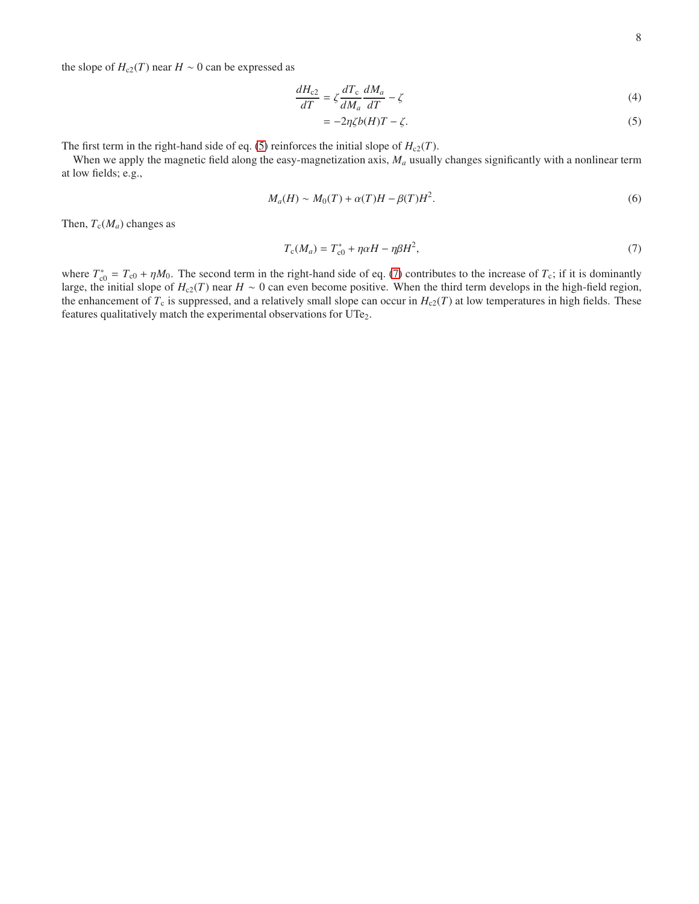the slope of  $H_{c2}(T)$  near  $H \sim 0$  can be expressed as

$$
\frac{dH_{c2}}{dT} = \zeta \frac{dT_c}{dM_a} \frac{dM_a}{dT} - \zeta
$$
\n(4)

<span id="page-7-1"></span><span id="page-7-0"></span>
$$
= -2\eta \zeta b(H)T - \zeta. \tag{5}
$$

The first term in the right-hand side of eq. [\(5\)](#page-7-0) reinforces the initial slope of  $H_{c2}(T)$ .

When we apply the magnetic field along the easy-magnetization axis,  $M_a$  usually changes significantly with a nonlinear term at low fields; e.g.,

$$
M_a(H) \sim M_0(T) + \alpha(T)H - \beta(T)H^2. \tag{6}
$$

Then,  $T_c(M_a)$  changes as

$$
T_c(M_a) = T_{c0}^* + \eta \alpha H - \eta \beta H^2,\tag{7}
$$

where  $T_{c0}^* = T_{c0} + \eta M_0$ . The second term in the right-hand side of eq. [\(7\)](#page-7-1) contributes to the increase of  $T_c$ ; if it is dominantly large, the initial slope of  $H_{c2}(T)$  near  $H \sim 0$  can even become positive. When the third term develops in the high-field region, the enhancement of  $T_c$  is suppressed, and a relatively small slope can occur in  $H_{c2}(T)$  at low temperatures in high fields. These features qualitatively match the experimental observations for UTe<sub>2</sub>.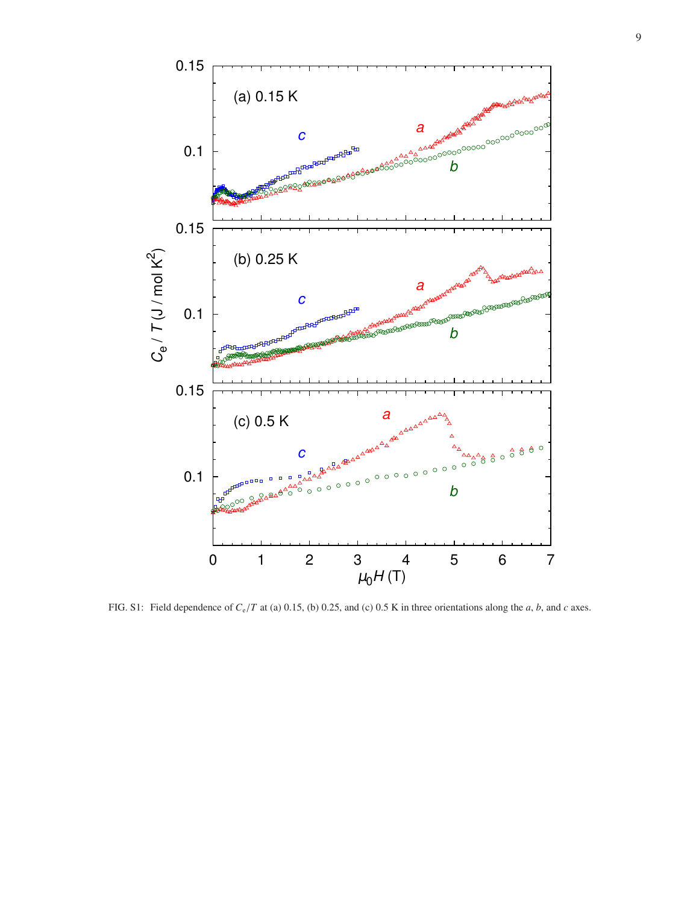

<span id="page-8-0"></span>FIG. S1: Field dependence of *C*e/*T* at (a) 0.15, (b) 0.25, and (c) 0.5 K in three orientations along the *a*, *b*, and *c* axes.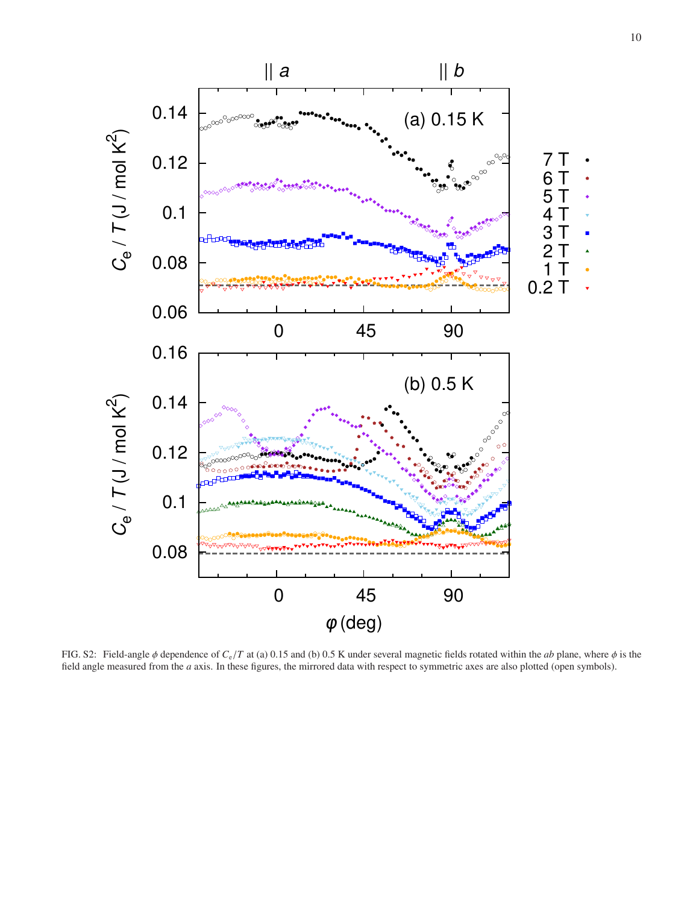

<span id="page-9-0"></span>FIG. S2: Field-angle φ dependence of *C*e/*T* at (a) 0.15 and (b) 0.5 K under several magnetic fields rotated within the *ab* plane, where φ is the field angle measured from the *a* axis. In these figures, the mirrored data with respect to symmetric axes are also plotted (open symbols).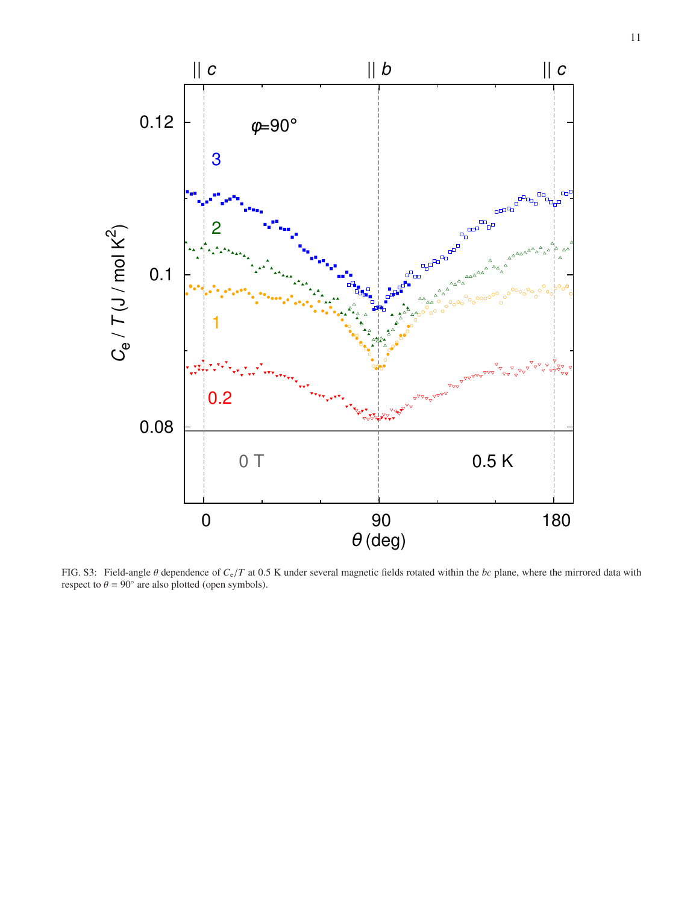

<span id="page-10-0"></span>FIG. S3: Field-angle θ dependence of *C*e/*T* at 0.5 K under several magnetic fields rotated within the *bc* plane, where the mirrored data with respect to  $\theta = 90^\circ$  are also plotted (open symbols).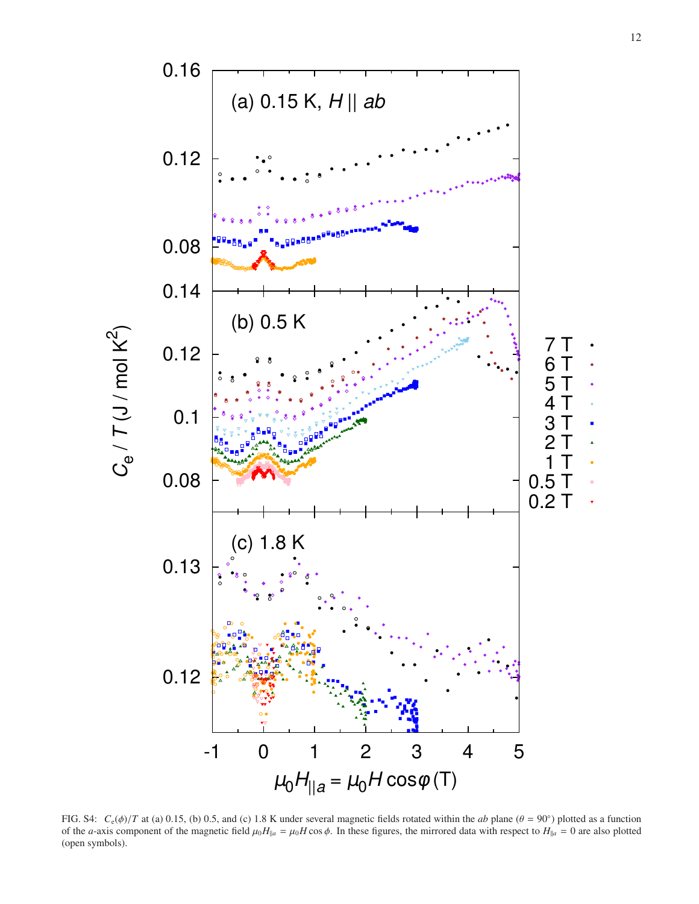

<span id="page-11-0"></span>FIG. S4:  $C_e(\phi)/T$  at (a) 0.15, (b) 0.5, and (c) 1.8 K under several magnetic fields rotated within the *ab* plane ( $\theta = 90^\circ$ ) plotted as a function of the *a*-axis component of the magnetic field  $\mu_0 H_{\parallel a} = \mu_0 H \cos \phi$ . In these figures, the mirrored data with respect to  $H_{\parallel a} = 0$  are also plotted (open symbols).